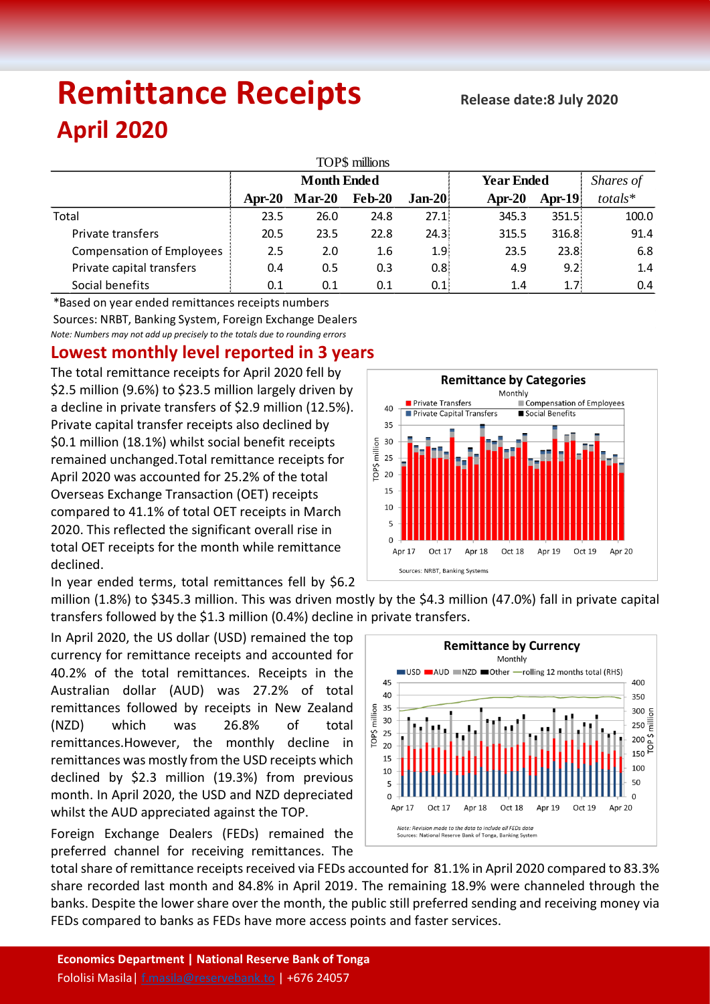# **Remittance Receipts April 2020**

| TOP\$ millions                   |                    |          |               |          |                   |                  |           |  |  |  |  |  |
|----------------------------------|--------------------|----------|---------------|----------|-------------------|------------------|-----------|--|--|--|--|--|
|                                  | <b>Month Ended</b> |          |               |          | <b>Year Ended</b> |                  | Shares of |  |  |  |  |  |
|                                  | Apr-20             | $Mar-20$ | <b>Feb-20</b> | $Jan-20$ | Apr- $20$         | $Apr-19$         | $totals*$ |  |  |  |  |  |
| Total                            | 23.5               | 26.0     | 24.8          | 27.1     | 345.3             | 351.5:           | 100.0     |  |  |  |  |  |
| Private transfers                | 20.5               | 23.5     | 22.8          | 24.3%    | 315.5             | 316.8            | 91.4      |  |  |  |  |  |
| <b>Compensation of Employees</b> | 2.5                | 2.0      | 1.6           | 1.9      | 23.5              | 23.8:            | 6.8       |  |  |  |  |  |
| Private capital transfers        | 0.4                | 0.5      | 0.3           | 0.8      | 4.9               | 9.2:             | 1.4       |  |  |  |  |  |
| Social benefits                  | 0.1                | 0.1      | 0.1           | 0.1      | 1.4               | 1.7 <sup>2</sup> | 0.4       |  |  |  |  |  |

*Note: Numbers may not add up precisely to the totals due to rounding errors* \*Based on year ended remittances receipts numbers Sources: NRBT, Banking System, Foreign Exchange Dealers

## **Lowest monthly level reported in 3 years**

The total remittance receipts for April 2020 fell by \$2.5 million (9.6%) to \$23.5 million largely driven by a decline in private transfers of \$2.9 million (12.5%). Private capital transfer receipts also declined by \$0.1 million (18.1%) whilst social benefit receipts remained unchanged.Total remittance receipts for April 2020 was accounted for 25.2% of the total Overseas Exchange Transaction (OET) receipts compared to 41.1% of total OET receipts in March 2020. This reflected the significant overall rise in total OET receipts for the month while remittance declined.

In year ended terms, total remittances fell by \$6.2



million (1.8%) to \$345.3 million. This was driven mostly by the \$4.3 million (47.0%) fall in private capital transfers followed by the \$1.3 million (0.4%) decline in private transfers.

In April 2020, the US dollar (USD) remained the top currency for remittance receipts and accounted for 40.2% of the total remittances. Receipts in the Australian dollar (AUD) was 27.2% of total remittances followed by receipts in New Zealand (NZD) which was 26.8% of total remittances.However, the monthly decline in remittances was mostly from the USD receipts which declined by \$2.3 million (19.3%) from previous month. In April 2020, the USD and NZD depreciated whilst the AUD appreciated against the TOP.

Foreign Exchange Dealers (FEDs) remained the preferred channel for receiving remittances. The



total share of remittance receipts received via FEDs accounted for 81.1% in April 2020 compared to 83.3% share recorded last month and 84.8% in April 2019. The remaining 18.9% were channeled through the banks. Despite the lower share over the month, the public still preferred sending and receiving money via FEDs compared to banks as FEDs have more access points and faster services.